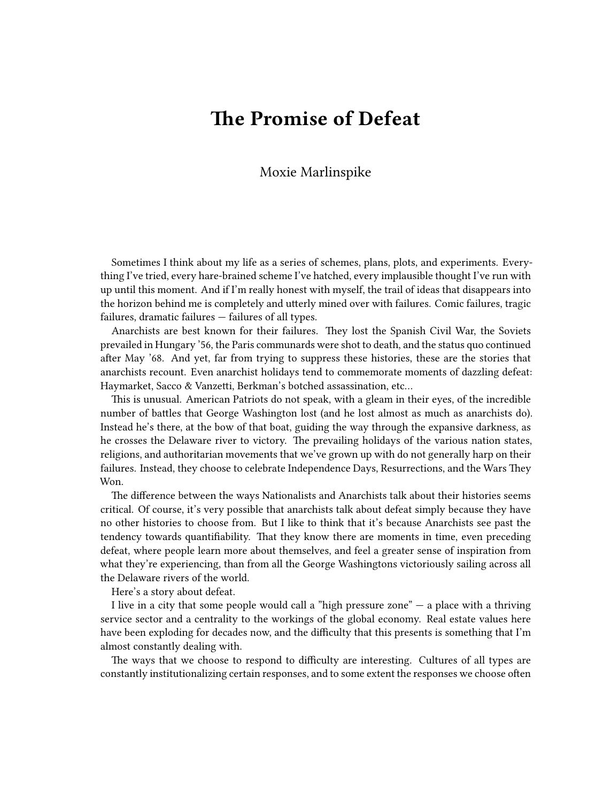## **The Promise of Defeat**

## Moxie Marlinspike

Sometimes I think about my life as a series of schemes, plans, plots, and experiments. Everything I've tried, every hare-brained scheme I've hatched, every implausible thought I've run with up until this moment. And if I'm really honest with myself, the trail of ideas that disappears into the horizon behind me is completely and utterly mined over with failures. Comic failures, tragic failures, dramatic failures — failures of all types.

Anarchists are best known for their failures. They lost the Spanish Civil War, the Soviets prevailed in Hungary '56, the Paris communards were shot to death, and the status quo continued after May '68. And yet, far from trying to suppress these histories, these are the stories that anarchists recount. Even anarchist holidays tend to commemorate moments of dazzling defeat: Haymarket, Sacco & Vanzetti, Berkman's botched assassination, etc…

This is unusual. American Patriots do not speak, with a gleam in their eyes, of the incredible number of battles that George Washington lost (and he lost almost as much as anarchists do). Instead he's there, at the bow of that boat, guiding the way through the expansive darkness, as he crosses the Delaware river to victory. The prevailing holidays of the various nation states, religions, and authoritarian movements that we've grown up with do not generally harp on their failures. Instead, they choose to celebrate Independence Days, Resurrections, and the Wars They Won.

The difference between the ways Nationalists and Anarchists talk about their histories seems critical. Of course, it's very possible that anarchists talk about defeat simply because they have no other histories to choose from. But I like to think that it's because Anarchists see past the tendency towards quantifiability. That they know there are moments in time, even preceding defeat, where people learn more about themselves, and feel a greater sense of inspiration from what they're experiencing, than from all the George Washingtons victoriously sailing across all the Delaware rivers of the world.

Here's a story about defeat.

I live in a city that some people would call a "high pressure zone" — a place with a thriving service sector and a centrality to the workings of the global economy. Real estate values here have been exploding for decades now, and the difficulty that this presents is something that I'm almost constantly dealing with.

The ways that we choose to respond to difficulty are interesting. Cultures of all types are constantly institutionalizing certain responses, and to some extent the responses we choose often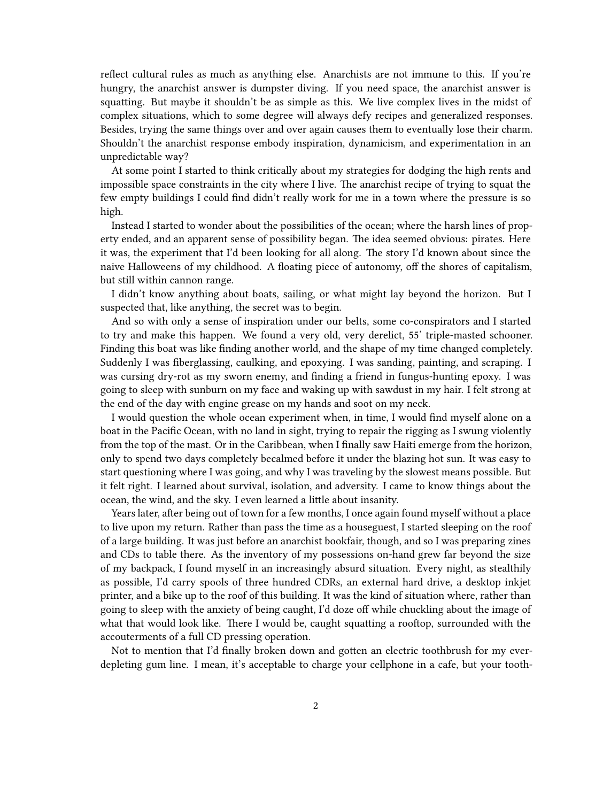reflect cultural rules as much as anything else. Anarchists are not immune to this. If you're hungry, the anarchist answer is dumpster diving. If you need space, the anarchist answer is squatting. But maybe it shouldn't be as simple as this. We live complex lives in the midst of complex situations, which to some degree will always defy recipes and generalized responses. Besides, trying the same things over and over again causes them to eventually lose their charm. Shouldn't the anarchist response embody inspiration, dynamicism, and experimentation in an unpredictable way?

At some point I started to think critically about my strategies for dodging the high rents and impossible space constraints in the city where I live. The anarchist recipe of trying to squat the few empty buildings I could find didn't really work for me in a town where the pressure is so high.

Instead I started to wonder about the possibilities of the ocean; where the harsh lines of property ended, and an apparent sense of possibility began. The idea seemed obvious: pirates. Here it was, the experiment that I'd been looking for all along. The story I'd known about since the naive Halloweens of my childhood. A floating piece of autonomy, off the shores of capitalism, but still within cannon range.

I didn't know anything about boats, sailing, or what might lay beyond the horizon. But I suspected that, like anything, the secret was to begin.

And so with only a sense of inspiration under our belts, some co-conspirators and I started to try and make this happen. We found a very old, very derelict, 55' triple-masted schooner. Finding this boat was like finding another world, and the shape of my time changed completely. Suddenly I was fiberglassing, caulking, and epoxying. I was sanding, painting, and scraping. I was cursing dry-rot as my sworn enemy, and finding a friend in fungus-hunting epoxy. I was going to sleep with sunburn on my face and waking up with sawdust in my hair. I felt strong at the end of the day with engine grease on my hands and soot on my neck.

I would question the whole ocean experiment when, in time, I would find myself alone on a boat in the Pacific Ocean, with no land in sight, trying to repair the rigging as I swung violently from the top of the mast. Or in the Caribbean, when I finally saw Haiti emerge from the horizon, only to spend two days completely becalmed before it under the blazing hot sun. It was easy to start questioning where I was going, and why I was traveling by the slowest means possible. But it felt right. I learned about survival, isolation, and adversity. I came to know things about the ocean, the wind, and the sky. I even learned a little about insanity.

Years later, after being out of town for a few months, I once again found myself without a place to live upon my return. Rather than pass the time as a houseguest, I started sleeping on the roof of a large building. It was just before an anarchist bookfair, though, and so I was preparing zines and CDs to table there. As the inventory of my possessions on-hand grew far beyond the size of my backpack, I found myself in an increasingly absurd situation. Every night, as stealthily as possible, I'd carry spools of three hundred CDRs, an external hard drive, a desktop inkjet printer, and a bike up to the roof of this building. It was the kind of situation where, rather than going to sleep with the anxiety of being caught, I'd doze off while chuckling about the image of what that would look like. There I would be, caught squatting a rooftop, surrounded with the accouterments of a full CD pressing operation.

Not to mention that I'd finally broken down and gotten an electric toothbrush for my everdepleting gum line. I mean, it's acceptable to charge your cellphone in a cafe, but your tooth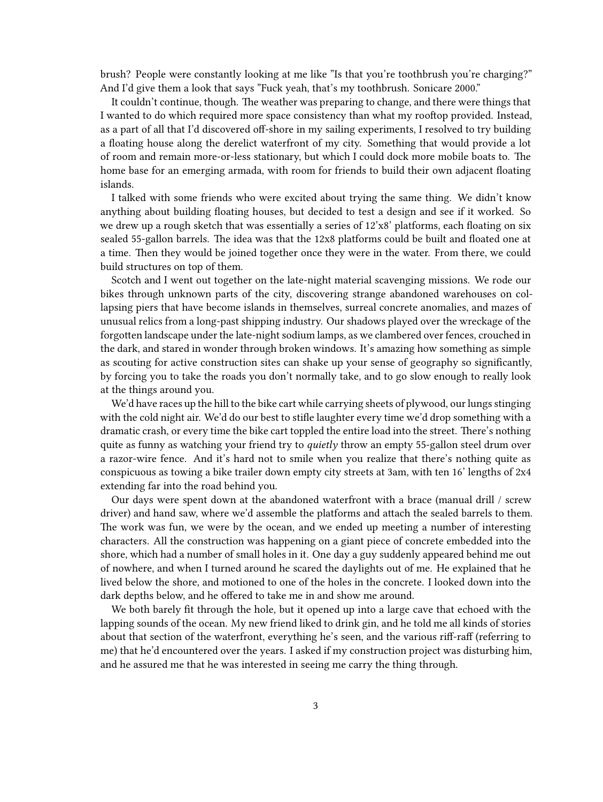brush? People were constantly looking at me like "Is that you're toothbrush you're charging?" And I'd give them a look that says "Fuck yeah, that's my toothbrush. Sonicare 2000."

It couldn't continue, though. The weather was preparing to change, and there were things that I wanted to do which required more space consistency than what my rooftop provided. Instead, as a part of all that I'd discovered off-shore in my sailing experiments, I resolved to try building a floating house along the derelict waterfront of my city. Something that would provide a lot of room and remain more-or-less stationary, but which I could dock more mobile boats to. The home base for an emerging armada, with room for friends to build their own adjacent floating islands.

I talked with some friends who were excited about trying the same thing. We didn't know anything about building floating houses, but decided to test a design and see if it worked. So we drew up a rough sketch that was essentially a series of 12'x8' platforms, each floating on six sealed 55-gallon barrels. The idea was that the 12x8 platforms could be built and floated one at a time. Then they would be joined together once they were in the water. From there, we could build structures on top of them.

Scotch and I went out together on the late-night material scavenging missions. We rode our bikes through unknown parts of the city, discovering strange abandoned warehouses on collapsing piers that have become islands in themselves, surreal concrete anomalies, and mazes of unusual relics from a long-past shipping industry. Our shadows played over the wreckage of the forgotten landscape under the late-night sodium lamps, as we clambered over fences, crouched in the dark, and stared in wonder through broken windows. It's amazing how something as simple as scouting for active construction sites can shake up your sense of geography so significantly, by forcing you to take the roads you don't normally take, and to go slow enough to really look at the things around you.

We'd have races up the hill to the bike cart while carrying sheets of plywood, our lungs stinging with the cold night air. We'd do our best to stifle laughter every time we'd drop something with a dramatic crash, or every time the bike cart toppled the entire load into the street. There's nothing quite as funny as watching your friend try to *quietly* throw an empty 55-gallon steel drum over a razor-wire fence. And it's hard not to smile when you realize that there's nothing quite as conspicuous as towing a bike trailer down empty city streets at 3am, with ten 16' lengths of 2x4 extending far into the road behind you.

Our days were spent down at the abandoned waterfront with a brace (manual drill / screw driver) and hand saw, where we'd assemble the platforms and attach the sealed barrels to them. The work was fun, we were by the ocean, and we ended up meeting a number of interesting characters. All the construction was happening on a giant piece of concrete embedded into the shore, which had a number of small holes in it. One day a guy suddenly appeared behind me out of nowhere, and when I turned around he scared the daylights out of me. He explained that he lived below the shore, and motioned to one of the holes in the concrete. I looked down into the dark depths below, and he offered to take me in and show me around.

We both barely fit through the hole, but it opened up into a large cave that echoed with the lapping sounds of the ocean. My new friend liked to drink gin, and he told me all kinds of stories about that section of the waterfront, everything he's seen, and the various riff-raff (referring to me) that he'd encountered over the years. I asked if my construction project was disturbing him, and he assured me that he was interested in seeing me carry the thing through.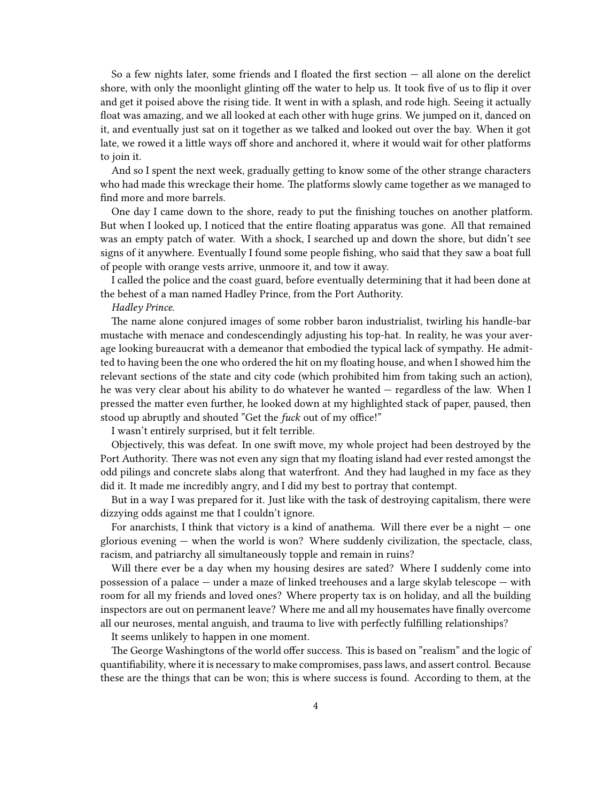So a few nights later, some friends and I floated the first section — all alone on the derelict shore, with only the moonlight glinting off the water to help us. It took five of us to flip it over and get it poised above the rising tide. It went in with a splash, and rode high. Seeing it actually float was amazing, and we all looked at each other with huge grins. We jumped on it, danced on it, and eventually just sat on it together as we talked and looked out over the bay. When it got late, we rowed it a little ways off shore and anchored it, where it would wait for other platforms to join it.

And so I spent the next week, gradually getting to know some of the other strange characters who had made this wreckage their home. The platforms slowly came together as we managed to find more and more barrels.

One day I came down to the shore, ready to put the finishing touches on another platform. But when I looked up, I noticed that the entire floating apparatus was gone. All that remained was an empty patch of water. With a shock, I searched up and down the shore, but didn't see signs of it anywhere. Eventually I found some people fishing, who said that they saw a boat full of people with orange vests arrive, unmoore it, and tow it away.

I called the police and the coast guard, before eventually determining that it had been done at the behest of a man named Hadley Prince, from the Port Authority.

*Hadley Prince*.

The name alone conjured images of some robber baron industrialist, twirling his handle-bar mustache with menace and condescendingly adjusting his top-hat. In reality, he was your average looking bureaucrat with a demeanor that embodied the typical lack of sympathy. He admitted to having been the one who ordered the hit on my floating house, and when I showed him the relevant sections of the state and city code (which prohibited him from taking such an action), he was very clear about his ability to do whatever he wanted — regardless of the law. When I pressed the matter even further, he looked down at my highlighted stack of paper, paused, then stood up abruptly and shouted "Get the *fuck* out of my office!"

I wasn't entirely surprised, but it felt terrible.

Objectively, this was defeat. In one swift move, my whole project had been destroyed by the Port Authority. There was not even any sign that my floating island had ever rested amongst the odd pilings and concrete slabs along that waterfront. And they had laughed in my face as they did it. It made me incredibly angry, and I did my best to portray that contempt.

But in a way I was prepared for it. Just like with the task of destroying capitalism, there were dizzying odds against me that I couldn't ignore.

For anarchists, I think that victory is a kind of anathema. Will there ever be a night — one glorious evening — when the world is won? Where suddenly civilization, the spectacle, class, racism, and patriarchy all simultaneously topple and remain in ruins?

Will there ever be a day when my housing desires are sated? Where I suddenly come into possession of a palace — under a maze of linked treehouses and a large skylab telescope — with room for all my friends and loved ones? Where property tax is on holiday, and all the building inspectors are out on permanent leave? Where me and all my housemates have finally overcome all our neuroses, mental anguish, and trauma to live with perfectly fulfilling relationships?

It seems unlikely to happen in one moment.

The George Washingtons of the world offer success. This is based on "realism" and the logic of quantifiability, where it is necessary to make compromises, pass laws, and assert control. Because these are the things that can be won; this is where success is found. According to them, at the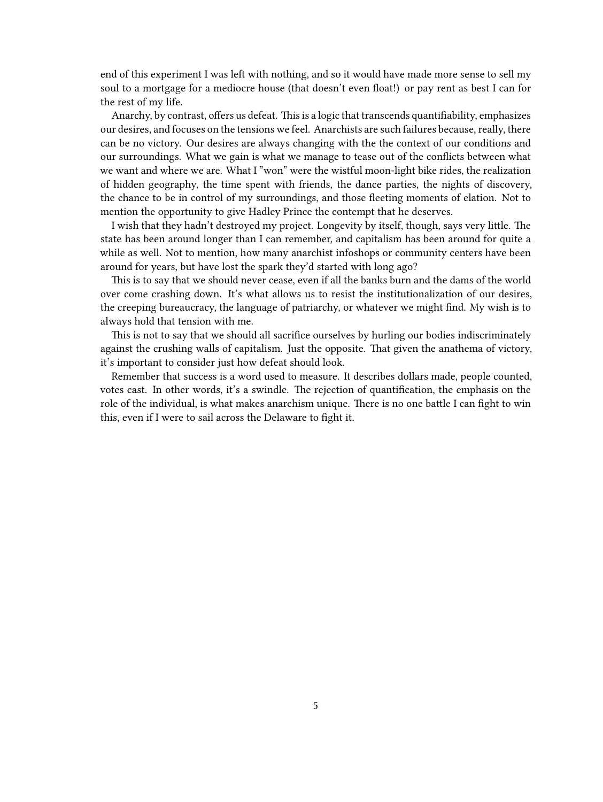end of this experiment I was left with nothing, and so it would have made more sense to sell my soul to a mortgage for a mediocre house (that doesn't even float!) or pay rent as best I can for the rest of my life.

Anarchy, by contrast, offers us defeat. This is a logic that transcends quantifiability, emphasizes our desires, and focuses on the tensions we feel. Anarchists are such failures because, really, there can be no victory. Our desires are always changing with the the context of our conditions and our surroundings. What we gain is what we manage to tease out of the conflicts between what we want and where we are. What I "won" were the wistful moon-light bike rides, the realization of hidden geography, the time spent with friends, the dance parties, the nights of discovery, the chance to be in control of my surroundings, and those fleeting moments of elation. Not to mention the opportunity to give Hadley Prince the contempt that he deserves.

I wish that they hadn't destroyed my project. Longevity by itself, though, says very little. The state has been around longer than I can remember, and capitalism has been around for quite a while as well. Not to mention, how many anarchist infoshops or community centers have been around for years, but have lost the spark they'd started with long ago?

This is to say that we should never cease, even if all the banks burn and the dams of the world over come crashing down. It's what allows us to resist the institutionalization of our desires, the creeping bureaucracy, the language of patriarchy, or whatever we might find. My wish is to always hold that tension with me.

This is not to say that we should all sacrifice ourselves by hurling our bodies indiscriminately against the crushing walls of capitalism. Just the opposite. That given the anathema of victory, it's important to consider just how defeat should look.

Remember that success is a word used to measure. It describes dollars made, people counted, votes cast. In other words, it's a swindle. The rejection of quantification, the emphasis on the role of the individual, is what makes anarchism unique. There is no one battle I can fight to win this, even if I were to sail across the Delaware to fight it.